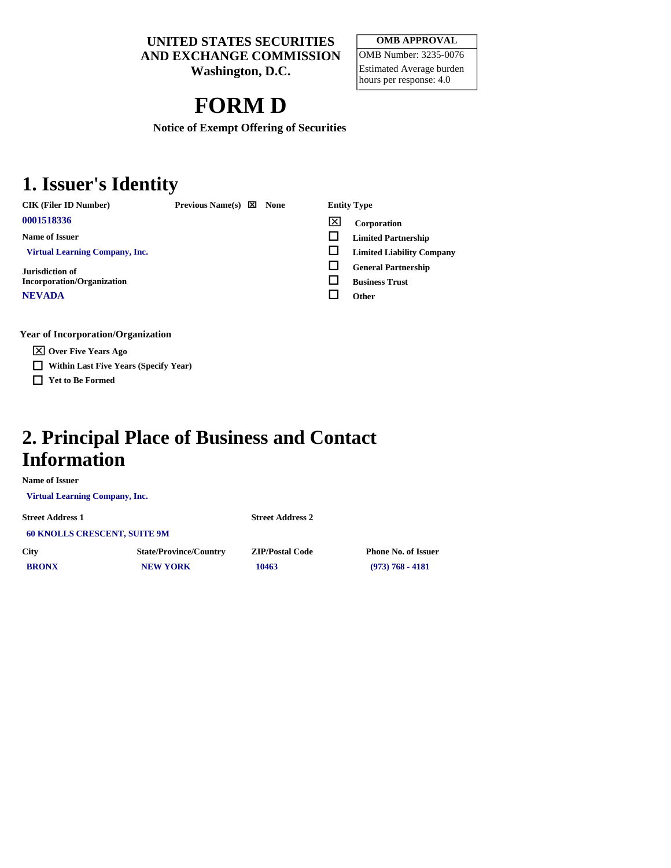**UNITED STATES SECURITIES AND EXCHANGE COMMISSION** 

**Washington, D.C.** 

#### **OMB APPROVAL**  OMB Number: 3235-0076 Estimated Average burden hours per response: 4.0

# **FORM D**

**Notice of Exempt Offering of Securities** 

### **1. Issuer's Identity**

**CIK (Filer ID Number)** Previous Name(s)  $\boxtimes$  None Entity Type

**Name of Issuer** 

 **Virtual Learning Company, Inc.** 

**Jurisdiction of Incorporation/Organization NEVADA** 

**Year of Incorporation/Organization** 

**Over Five Years Ago** 

- **Within Last Five Years (Specify Year)**
- **Yet to Be Formed**

- **<sup>0001518336</sup> Corporation** 
	- **Limited Partnership**
	- **Limited Liability Company**
	- **General Partnership**
	- **Business Trust**

**Other** 

#### **2. Principal Place of Business and Contact Information**

**Name of Issuer** 

 **Virtual Learning Company, Inc.** 

**Street Address 1 Street Address 2 60 KNOLLS CRESCENT, SUITE 9M City State/Province/Country ZIP/Postal Code Phone No. of Issuer BRONX NEW YORK 10463** (973) 768 - 4181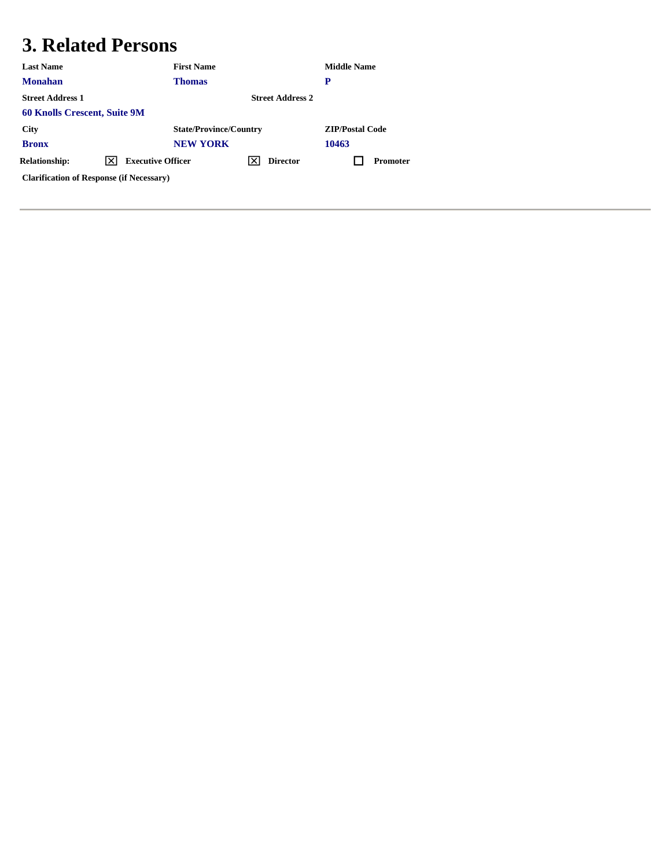# **3. Related Persons**

| <b>Last Name</b>                                | <b>First Name</b>             |                         | <b>Middle Name</b>     |
|-------------------------------------------------|-------------------------------|-------------------------|------------------------|
| <b>Monahan</b>                                  | <b>Thomas</b>                 |                         | P                      |
| <b>Street Address 1</b>                         |                               | <b>Street Address 2</b> |                        |
| <b>60 Knolls Crescent, Suite 9M</b>             |                               |                         |                        |
| <b>City</b>                                     | <b>State/Province/Country</b> |                         | <b>ZIP/Postal Code</b> |
| <b>Bronx</b>                                    | <b>NEW YORK</b>               |                         | 10463                  |
| <b>Relationship:</b><br>IXI                     | <b>Executive Officer</b>      | <b>Director</b>         | <b>Promoter</b>        |
| <b>Clarification of Response (if Necessary)</b> |                               |                         |                        |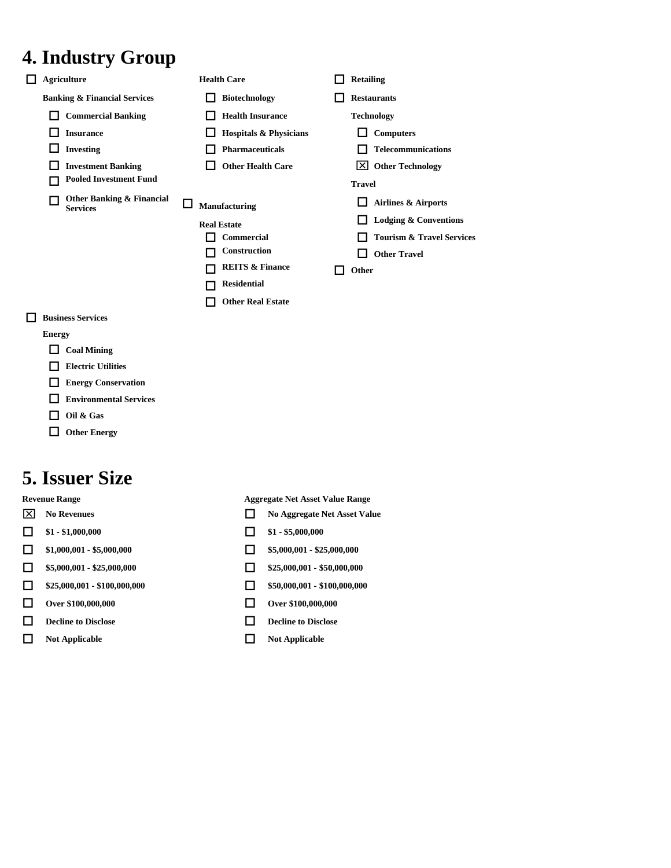# **4. Industry Group**

| <b>Agriculture</b>                           | <b>Health Care</b>                                                                                                                      | <b>Retailing</b>                                                                                         |
|----------------------------------------------|-----------------------------------------------------------------------------------------------------------------------------------------|----------------------------------------------------------------------------------------------------------|
| <b>Banking &amp; Financial Services</b>      | <b>Biotechnology</b>                                                                                                                    | <b>Restaurants</b>                                                                                       |
| <b>Commercial Banking</b>                    | <b>Health Insurance</b>                                                                                                                 | <b>Technology</b>                                                                                        |
| <b>Insurance</b>                             | <b>Hospitals &amp; Physicians</b>                                                                                                       | <b>Computers</b>                                                                                         |
| <b>Investing</b>                             | <b>Pharmaceuticals</b>                                                                                                                  | <b>Telecommunications</b>                                                                                |
| <b>Investment Banking</b>                    | <b>Other Health Care</b>                                                                                                                | <b>Other Technology</b><br>IXI                                                                           |
| <b>Pooled Investment Fund</b>                |                                                                                                                                         | <b>Travel</b>                                                                                            |
| Other Banking & Financial<br><b>Services</b> | Manufacturing                                                                                                                           | Airlines & Airports                                                                                      |
|                                              | <b>Real Estate</b><br><b>Commercial</b><br>Construction<br><b>REITS &amp; Finance</b><br><b>Residential</b><br><b>Other Real Estate</b> | <b>Lodging &amp; Conventions</b><br><b>Tourism &amp; Travel Services</b><br><b>Other Travel</b><br>Other |
| <b>Business Services</b>                     |                                                                                                                                         |                                                                                                          |
| $\mathbf{r}$                                 |                                                                                                                                         |                                                                                                          |

- **Energy** 
	- **Coal Mining**
- **Electric Utilities**
- **Energy Conservation**
- **Environmental Services**
- **Oil & Gas**
- **Other Energy**

## **5. Issuer Size**

- 
- 
- 
- 
- 
- 
- **Decline to Disclose Decline to Disclose**
- **Not Applicable Not Applicable**

**Revenue Range 2021 22 Aggregate Net Asset Value Range** 

- **No Revenues No Revenues No Aggregate Net Asset Value**
- $\Box$  \$1 \$1,000,000  $\Box$  \$1 \$5,000,000
- $\Box$  \$1,000,001 \$5,000,000  $\Box$  \$5,000,001 \$25,000,000
- $\Box$  \$5,000,001 \$25,000,000  $\Box$  \$25,000,001 \$50,000,000
- $\Box$  \$25,000,001 \$100,000,000 <br>  $\Box$  \$50,000,001 \$100,000,000
- **Over \$100,000,000 Over \$100,000,000** 
	-
	-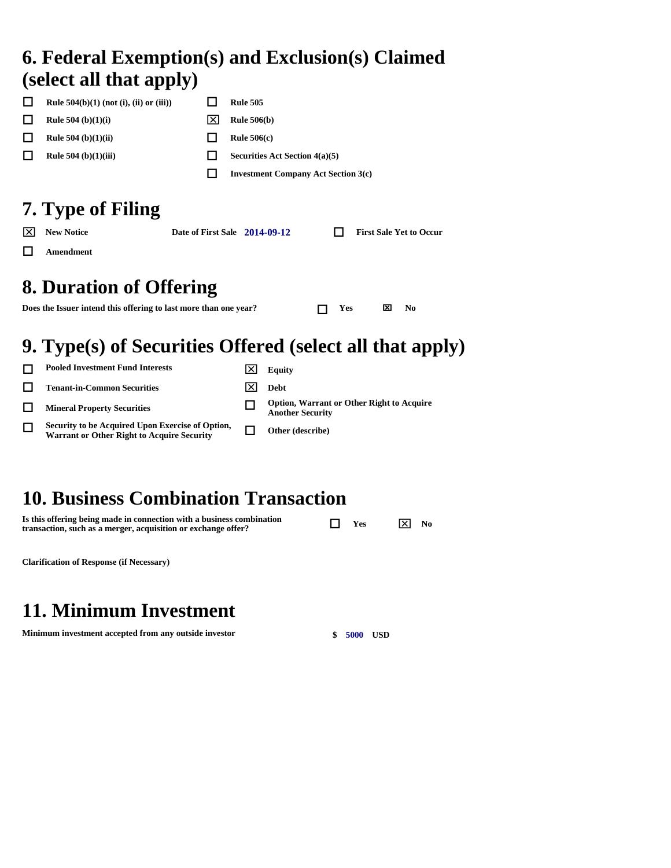### **6. Federal Exemption(s) and Exclusion(s) Claimed (select all that apply)**

| <b>Rule 504(b)(1) (not (i), (ii) or (iii))</b> |     | <b>Rule 505</b>                            |
|------------------------------------------------|-----|--------------------------------------------|
| <b>Rule 504</b> (b) $(1)(i)$                   | Ixl | <b>Rule 506(b)</b>                         |
| <b>Rule 504</b> (b) $(1)(ii)$                  |     | Rule $506(c)$                              |
| Rule $504$ (b) $(1)(iii)$                      |     | Securities Act Section $4(a)(5)$           |
|                                                |     | <b>Investment Company Act Section 3(c)</b> |
| -----<br>___                                   |     |                                            |

# **7. Type of Filing**

| $ \overline{\times} $ New Notice | Date of First Sale 2014-09-12 |  | <b>First Sale Yet to Occur</b> |
|----------------------------------|-------------------------------|--|--------------------------------|
| $\Box$ Amendment                 |                               |  |                                |

# **8. Duration of Offering**

**Does the Issuer intend this offering to last more than one year?**  $\Box$  **Yes**  $\Box$  **No** 

# **9. Type(s) of Securities Offered (select all that apply)**

| <b>Pooled Investment Fund Interests</b>                                                               | Equity                                                                      |
|-------------------------------------------------------------------------------------------------------|-----------------------------------------------------------------------------|
| <b>Tenant-in-Common Securities</b>                                                                    | Debt                                                                        |
| <b>Mineral Property Securities</b>                                                                    | <b>Option, Warrant or Other Right to Acquire</b><br><b>Another Security</b> |
| Security to be Acquired Upon Exercise of Option,<br><b>Warrant or Other Right to Acquire Security</b> | Other (describe)                                                            |
|                                                                                                       |                                                                             |

# **10. Business Combination Transaction**

| Is this offering being made in connection with a business combination | $\Box$ Yes | $\overline{\mathsf{x}}$ No |  |
|-----------------------------------------------------------------------|------------|----------------------------|--|
| transaction, such as a merger, acquisition or exchange offer?         |            |                            |  |

**Clarification of Response (if Necessary)** 

# **11. Minimum Investment**

**Minimum investment accepted from any outside investor**  $\qquad$  **\$ 5000 USD**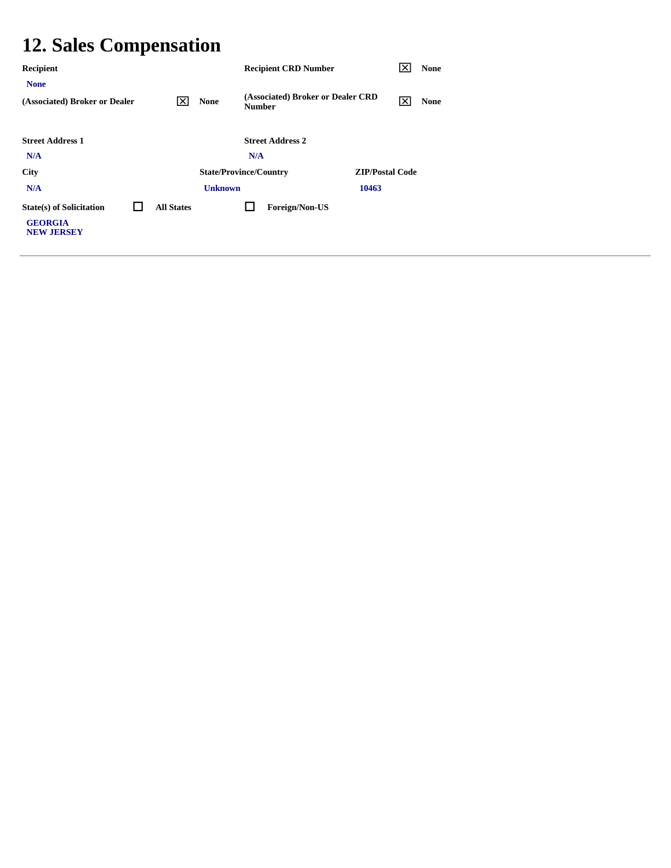# **12. Sales Compensation**

| Recipient                                                              |                   |                               |               | <b>Recipient CRD Number</b>       |                        | × | <b>None</b> |
|------------------------------------------------------------------------|-------------------|-------------------------------|---------------|-----------------------------------|------------------------|---|-------------|
| <b>None</b><br>(Associated) Broker or Dealer                           | I×I               | <b>None</b>                   | <b>Number</b> | (Associated) Broker or Dealer CRD |                        | ⊠ | <b>None</b> |
| <b>Street Address 1</b><br>N/A                                         |                   |                               | N/A           | <b>Street Address 2</b>           |                        |   |             |
| <b>City</b>                                                            |                   | <b>State/Province/Country</b> |               |                                   | <b>ZIP/Postal Code</b> |   |             |
| N/A                                                                    |                   | <b>Unknown</b>                |               |                                   | 10463                  |   |             |
| <b>State(s) of Solicitation</b><br><b>GEORGIA</b><br><b>NEW JERSEY</b> | <b>All States</b> |                               |               | Foreign/Non-US                    |                        |   |             |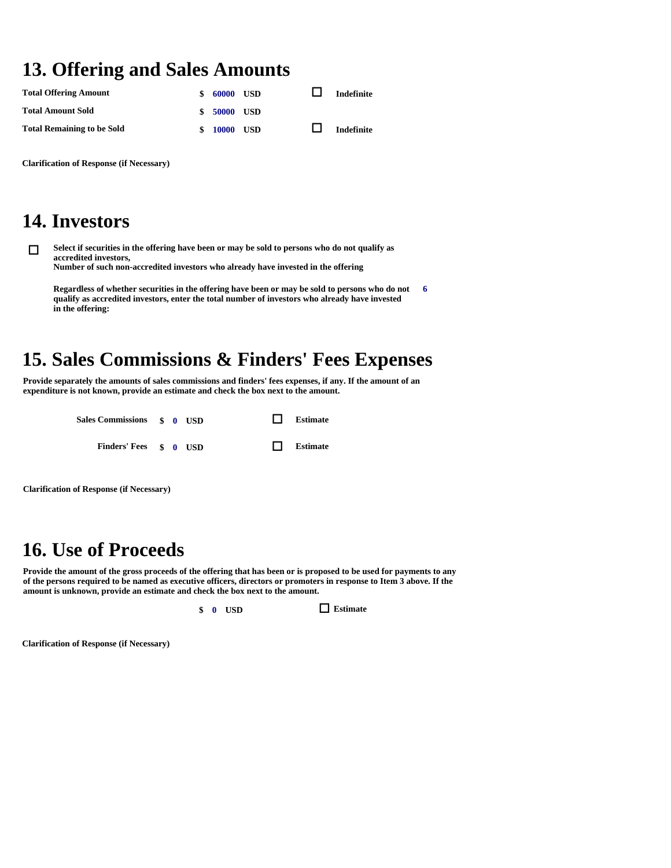## **13. Offering and Sales Amounts**

| <b>Total Offering Amount</b>      | \$<br>60000     | USD | <b>Indefinite</b> |
|-----------------------------------|-----------------|-----|-------------------|
| <b>Total Amount Sold</b>          | \$ 50000 USD    |     |                   |
| <b>Total Remaining to be Sold</b> | \$<br>10000 USD |     | <b>Indefinite</b> |

**Clarification of Response (if Necessary)** 

#### **14. Investors**

 **Select if securities in the offering have been or may be sold to persons who do not qualify as accredited investors, Number of such non-accredited investors who already have invested in the offering** 

**Regardless of whether securities in the offering have been or may be sold to persons who do not qualify as accredited investors, enter the total number of investors who already have invested in the offering: 6** 

# **15. Sales Commissions & Finders' Fees Expenses**

**Provide separately the amounts of sales commissions and finders' fees expenses, if any. If the amount of an expenditure is not known, provide an estimate and check the box next to the amount.** 

| Sales Commissions \$ 0 USD |  |  | $\Box$ Estimate |
|----------------------------|--|--|-----------------|
| Finders' Fees \$ 0 USD     |  |  | $\Box$ Estimate |

**Clarification of Response (if Necessary)** 

### **16. Use of Proceeds**

**Provide the amount of the gross proceeds of the offering that has been or is proposed to be used for payments to any of the persons required to be named as executive officers, directors or promoters in response to Item 3 above. If the amount is unknown, provide an estimate and check the box next to the amount.** 

**\$ 0 USD Estimate** 

**Clarification of Response (if Necessary)**